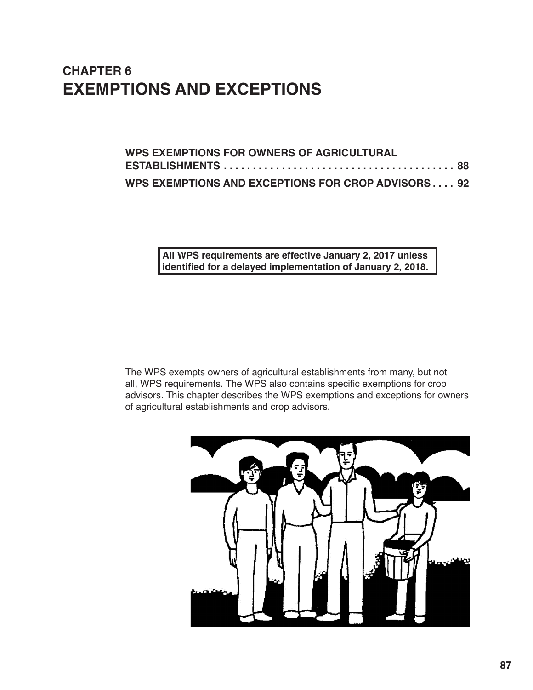# **CHAPTER 6 EXEMPTIONS AND EXCEPTIONS**

| <b>WPS EXEMPTIONS FOR OWNERS OF AGRICULTURAL</b>   |  |
|----------------------------------------------------|--|
|                                                    |  |
| WPS EXEMPTIONS AND EXCEPTIONS FOR CROP ADVISORS 92 |  |

**All WPS requirements are effective January 2, 2017 unless identified for a delayed implementation of January 2, 2018.** 

The WPS exempts owners of agricultural establishments from many, but not all, WPS requirements. The WPS also contains specific exemptions for crop advisors. This chapter describes the WPS exemptions and exceptions for owners of agricultural establishments and crop advisors.

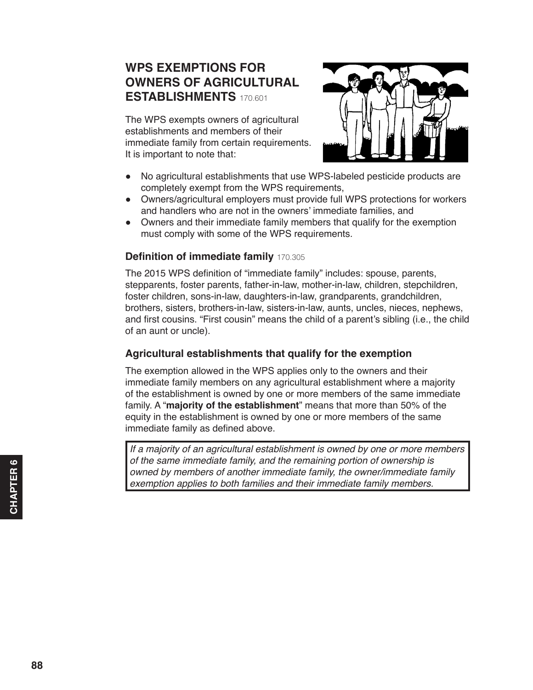## <span id="page-1-0"></span>**WPS EXEMPTIONS FOR OWNERS OF AGRICULTURAL ESTABLISHMENTS** 170.601

The WPS exempts owners of agricultural establishments and members of their immediate family from certain requirements. It is important to note that:



- No agricultural establishments that use WPS-labeled pesticide products are completely exempt from the WPS requirements,
- Owners/agricultural employers must provide full WPS protections for workers and handlers who are not in the owners' immediate families, and
- Owners and their immediate family members that qualify for the exemption must comply with some of the WPS requirements.

### **Definition of immediate family** 170.305

The 2015 WPS definition of "immediate family" includes: spouse, parents, stepparents, foster parents, father‐in‐law, mother‐in‐law, children, stepchildren, foster children, sons‐in‐law, daughters‐in-law, grandparents, grandchildren, brothers, sisters, brothers‐in‐law, sisters‐in-law, aunts, uncles, nieces, nephews, and first cousins. "First cousin" means the child of a parent's sibling (i.e., the child of an aunt or uncle).

### **Agricultural establishments that qualify for the exemption**

The exemption allowed in the WPS applies only to the owners and their immediate family members on any agricultural establishment where a majority of the establishment is owned by one or more members of the same immediate family. A "**majority of the establishment**" means that more than 50% of the equity in the establishment is owned by one or more members of the same immediate family as defined above.

*If a majority of an agricultural establishment is owned by one or more members of the same immediate family, and the remaining portion of ownership is owned by members of another immediate family, the owner/immediate family exemption applies to both families and their immediate family members.*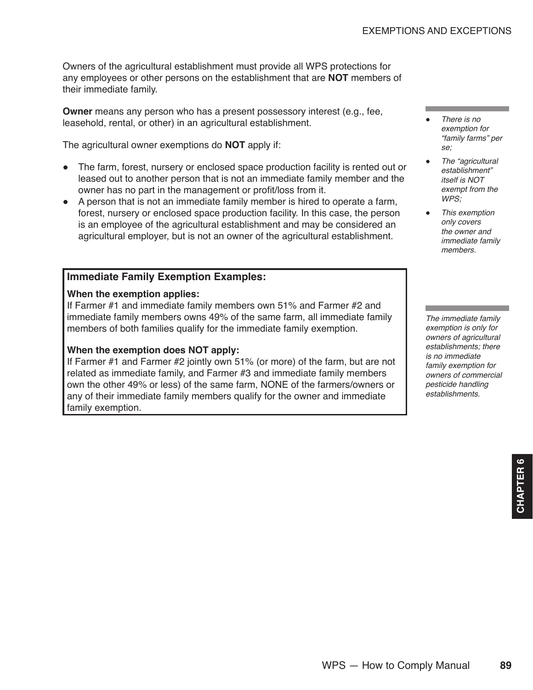Owners of the agricultural establishment must provide all WPS protections for any employees or other persons on the establishment that are **NOT** members of their immediate family.

**Owner** means any person who has a present possessory interest (e.g., fee, leasehold, rental, or other) in an agricultural establishment.

The agricultural owner exemptions do **NOT** apply if:

- The farm, forest, nursery or enclosed space production facility is rented out or leased out to another person that is not an immediate family member and the owner has no part in the management or profit/loss from it.
- A person that is not an immediate family member is hired to operate a farm, forest, nursery or enclosed space production facility. In this case, the person is an employee of the agricultural establishment and may be considered an agricultural employer, but is not an owner of the agricultural establishment.

### **Immediate Family Exemption Examples:**

#### **When the exemption applies:**

If Farmer #1 and immediate family members own 51% and Farmer #2 and immediate family members owns 49% of the same farm, all immediate family members of both families qualify for the immediate family exemption.

#### **When the exemption does NOT apply:**

If Farmer #1 and Farmer #2 jointly own 51% (or more) of the farm, but are not related as immediate family, and Farmer #3 and immediate family members own the other 49% or less) of the same farm, NONE of the farmers/owners or any of their immediate family members qualify for the owner and immediate family exemption.

- *There is no exemption for "family farms" per se;*
- *The "agricultural establishment" itself is NOT exempt from the WPS;*
- *This exemption only covers the owner and immediate family members.*

*The immediate family exemption is only for owners of agricultural establishments; there is no immediate family exemption for owners of commercial pesticide handling establishments.*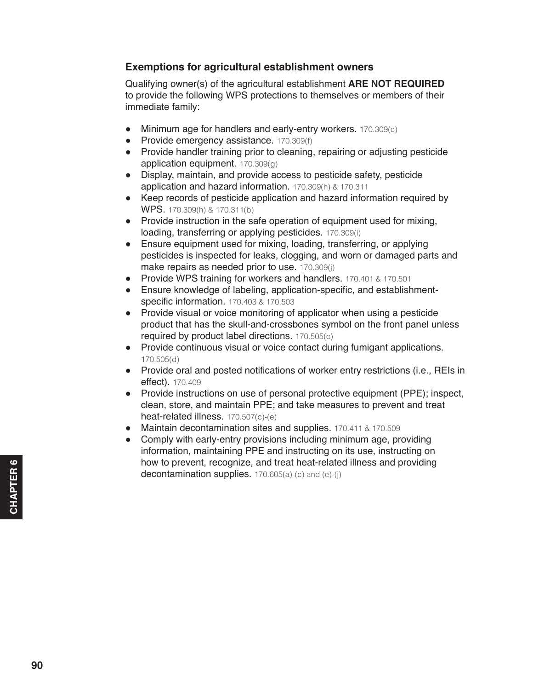### **Exemptions for agricultural establishment owners**

Qualifying owner(s) of the agricultural establishment **ARE NOT REQUIRED** to provide the following WPS protections to themselves or members of their immediate family:

- Minimum age for handlers and early-entry workers. 170.309(c)
- Provide emergency assistance. 170.309(f)
- Provide handler training prior to cleaning, repairing or adjusting pesticide application equipment. 170.309(g)
- Display, maintain, and provide access to pesticide safety, pesticide application and hazard information. 170.309(h) & 170.311
- Keep records of pesticide application and hazard information required by WPS. 170.309(h) & 170.311(b)
- Provide instruction in the safe operation of equipment used for mixing, loading, transferring or applying pesticides. 170.309(i)
- Ensure equipment used for mixing, loading, transferring, or applying pesticides is inspected for leaks, clogging, and worn or damaged parts and make repairs as needed prior to use. 170.309(j)
- Provide WPS training for workers and handlers. 170.401 & 170.501
- Ensure knowledge of labeling, application-specific, and establishmentspecific information. 170.403 & 170.503
- Provide visual or voice monitoring of applicator when using a pesticide product that has the skull-and-crossbones symbol on the front panel unless required by product label directions. 170.505(c)
- Provide continuous visual or voice contact during fumigant applications. 170.505(d)
- Provide oral and posted notifications of worker entry restrictions (i.e., REIs in effect). 170.409
- Provide instructions on use of personal protective equipment (PPE); inspect, clean, store, and maintain PPE; and take measures to prevent and treat heat-related illness. 170.507(c)-(e)
- Maintain decontamination sites and supplies. 170.411 & 170.509
- Comply with early-entry provisions including minimum age, providing information, maintaining PPE and instructing on its use, instructing on how to prevent, recognize, and treat heat-related illness and providing decontamination supplies. 170.605(a)-(c) and (e)-(i)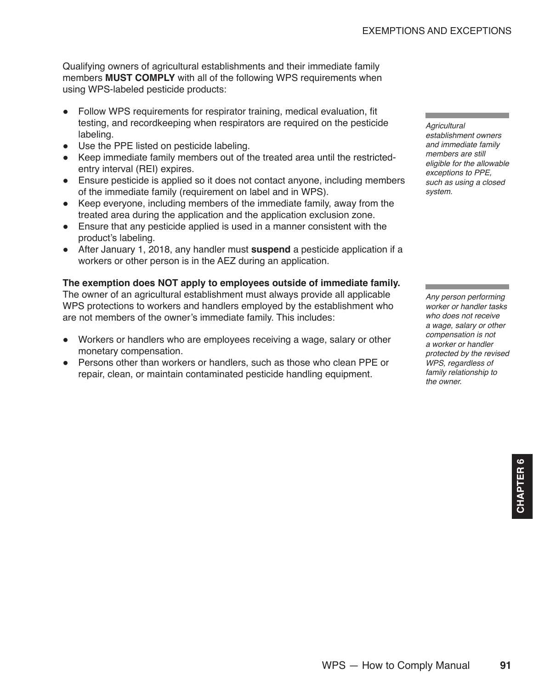Qualifying owners of agricultural establishments and their immediate family members **MUST COMPLY** with all of the following WPS requirements when using WPS-labeled pesticide products:

- Follow WPS requirements for respirator training, medical evaluation, fit testing, and recordkeeping when respirators are required on the pesticide labeling.
- Use the PPE listed on pesticide labeling.
- Keep immediate family members out of the treated area until the restrictedentry interval (REI) expires.
- Ensure pesticide is applied so it does not contact anyone, including members of the immediate family (requirement on label and in WPS).
- Keep everyone, including members of the immediate family, away from the treated area during the application and the application exclusion zone.
- Ensure that any pesticide applied is used in a manner consistent with the product's labeling.
- After January 1, 2018, any handler must **suspend** a pesticide application if a workers or other person is in the AEZ during an application.

### **The exemption does NOT apply to employees outside of immediate family.**

The owner of an agricultural establishment must always provide all applicable WPS protections to workers and handlers employed by the establishment who are not members of the owner's immediate family. This includes:

- Workers or handlers who are employees receiving a wage, salary or other monetary compensation.
- Persons other than workers or handlers, such as those who clean PPE or repair, clean, or maintain contaminated pesticide handling equipment.

*Agricultural* 

*establishment owners and immediate family members are still eligible for the allowable exceptions to PPE, such as using a closed system.*

*Any person performing worker or handler tasks who does not receive a wage, salary or other compensation is not a worker or handler protected by the revised WPS, regardless of family relationship to the owner.*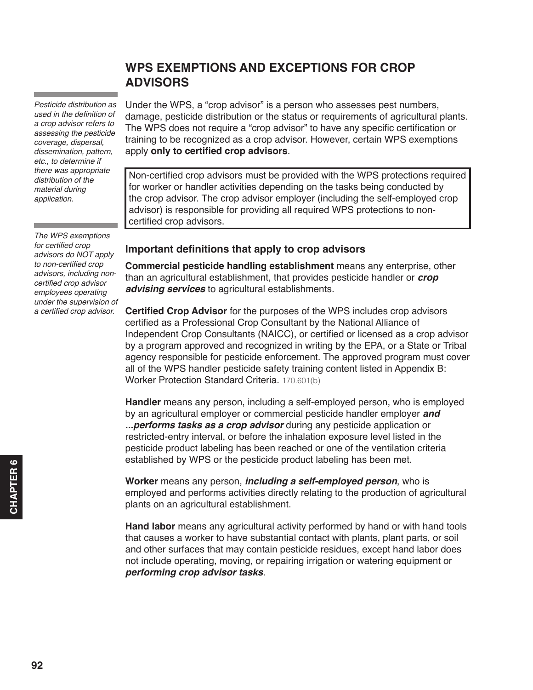<span id="page-5-0"></span>*Pesticide distribution as*  used in the definition of *a crop advisor refers to assessing the pesticide coverage, dispersal, dissemination, pattern, etc., to determine if there was appropriate distribution of the material during application.*

*The WPS exemptions*  for certified crop *advisors do NOT apply*  to non-certified crop *advisors, including non*certified crop advisor *employees operating under the supervision of*  a certified crop advisor.

## **WPS EXEMPTIONS AND EXCEPTIONS FOR CROP ADVISORS**

Under the WPS, a "crop advisor" is a person who assesses pest numbers, damage, pesticide distribution or the status or requirements of agricultural plants. The WPS does not require a "crop advisor" to have any specific certification or training to be recognized as a crop advisor. However, certain WPS exemptions apply **only to certified crop advisors**.

Non-certified crop advisors must be provided with the WPS protections required for worker or handler activities depending on the tasks being conducted by the crop advisor. The crop advisor employer (including the self-employed crop advisor) is responsible for providing all required WPS protections to noncertified crop advisors.

### **Important definitions that apply to crop advisors**

**Commercial pesticide handling establishment** means any enterprise, other than an agricultural establishment, that provides pesticide handler or *crop advising services* to agricultural establishments.

**Certified Crop Advisor** for the purposes of the WPS includes crop advisors certified as a Professional Crop Consultant by the National Alliance of Independent Crop Consultants (NAICC), or certified or licensed as a crop advisor by a program approved and recognized in writing by the EPA, or a State or Tribal agency responsible for pesticide enforcement. The approved program must cover all of the WPS handler pesticide safety training content listed in Appendix B: Worker Protection Standard Criteria. 170.601(b)

**Handler** means any person, including a self-employed person, who is employed by an agricultural employer or commercial pesticide handler employer *and ...performs tasks as a crop advisor* during any pesticide application or restricted-entry interval, or before the inhalation exposure level listed in the pesticide product labeling has been reached or one of the ventilation criteria established by WPS or the pesticide product labeling has been met.

**Worker** means any person, *including a self-employed person*, who is employed and performs activities directly relating to the production of agricultural plants on an agricultural establishment.

**Hand labor** means any agricultural activity performed by hand or with hand tools that causes a worker to have substantial contact with plants, plant parts, or soil and other surfaces that may contain pesticide residues, except hand labor does not include operating, moving, or repairing irrigation or watering equipment or *performing crop advisor tasks*.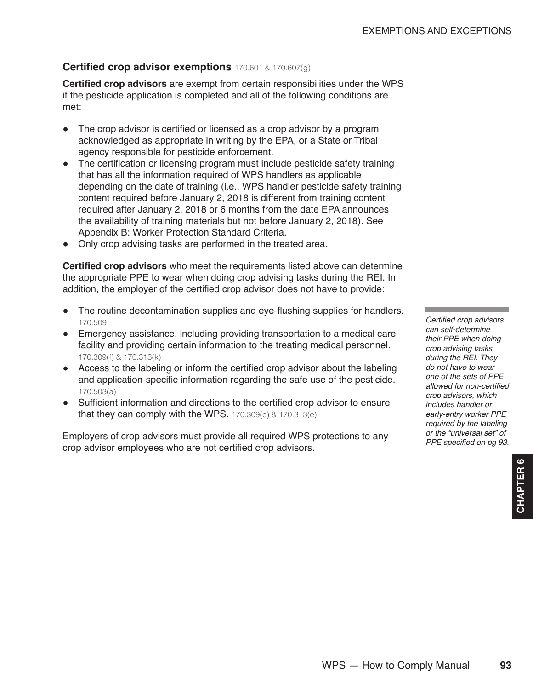## **Certified crop advisor exemptions** 170.601 & 170.607(g)

**Certified crop advisors** are exempt from certain responsibilities under the WPS if the pesticide application is completed and all of the following conditions are met:

- The crop advisor is certified or licensed as a crop advisor by a program acknowledged as appropriate in writing by the EPA, or a State or Tribal agency responsible for pesticide enforcement.
- The certification or licensing program must include pesticide safety training that has all the information required of WPS handlers as applicable depending on the date of training (i.e., WPS handler pesticide safety training content required before January 2, 2018 is different from training content required after January 2, 2018 or 6 months from the date EPA announces the availability of training materials but not before January 2, 2018). See Appendix B: Worker Protection Standard Criteria.
- Only crop advising tasks are performed in the treated area.

**Certified crop advisors** who meet the requirements listed above can determine the appropriate PPE to wear when doing crop advising tasks during the REI. In addition, the employer of the certified crop advisor does not have to provide:

- The routine decontamination supplies and eye-flushing supplies for handlers. 170.509
- Emergency assistance, including providing transportation to a medical care facility and providing certain information to the treating medical personnel. 170.309(f) & 170.313(k)
- Access to the labeling or inform the certified crop advisor about the labeling and application-specific information regarding the safe use of the pesticide. 170.503(a)
- Sufficient information and directions to the certified crop advisor to ensure that they can comply with the WPS.  $170.309(e)$  &  $170.313(e)$

Employers of crop advisors must provide all required WPS protections to any crop advisor employees who are not certified crop advisors.

Certified crop advisors *can self-determine their PPE when doing crop advising tasks during the REI. They do not have to wear one of the sets of PPE*  allowed for non-certified *crop advisors, which includes handler or early-entry worker PPE required by the labeling or the "universal set" of*  PPE specified on pg 93.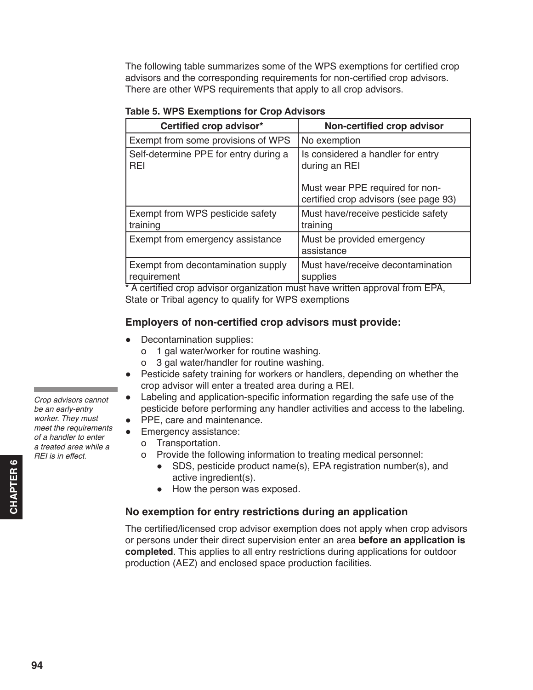The following table summarizes some of the WPS exemptions for certified crop advisors and the corresponding requirements for non-certified crop advisors. There are other WPS requirements that apply to all crop advisors.

| Certified crop advisor*                             | Non-certified crop advisor                                                                                                     |
|-----------------------------------------------------|--------------------------------------------------------------------------------------------------------------------------------|
| Exempt from some provisions of WPS                  | No exemption                                                                                                                   |
| Self-determine PPE for entry during a<br><b>REI</b> | Is considered a handler for entry<br>during an REI<br>Must wear PPE required for non-<br>certified crop advisors (see page 93) |
| Exempt from WPS pesticide safety<br>training        | Must have/receive pesticide safety<br>training                                                                                 |
| Exempt from emergency assistance                    | Must be provided emergency<br>assistance                                                                                       |
| Exempt from decontamination supply<br>requirement   | Must have/receive decontamination<br>supplies                                                                                  |

**Table 5. WPS Exemptions for Crop Advisors**

\* A certified crop advisor organization must have written approval from EPA, State or Tribal agency to qualify for WPS exemptions

### **Employers of non-certified crop advisors must provide:**

- Decontamination supplies:
	- о 1 gal water/worker for routine washing.
	- о 3 gal water/handler for routine washing.
- Pesticide safety training for workers or handlers, depending on whether the crop advisor will enter a treated area during a REI.
- Labeling and application-specific information regarding the safe use of the pesticide before performing any handler activities and access to the labeling.
- PPE, care and maintenance.
- Emergency assistance:
	- о Transportation.
	- о Provide the following information to treating medical personnel:
		- SDS, pesticide product name(s), EPA registration number(s), and active ingredient(s).
		- How the person was exposed.

#### **No exemption for entry restrictions during an application**

The certified/licensed crop advisor exemption does not apply when crop advisors or persons under their direct supervision enter an area **before an application is completed**. This applies to all entry restrictions during applications for outdoor production (AEZ) and enclosed space production facilities.

*Crop advisors cannot be an early-entry worker. They must meet the requirements of a handler to enter a treated area while a REI is in effect.*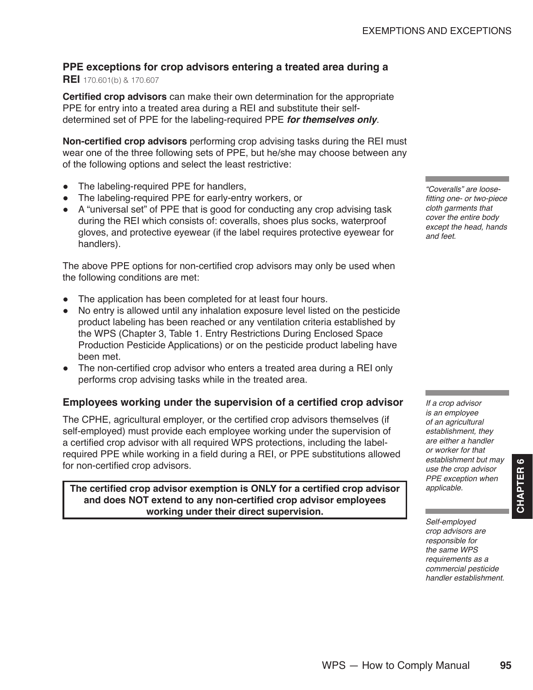# **PPE exceptions for crop advisors entering a treated area during a**

## **REI** 170.601(b) & 170.607

**Certified crop advisors** can make their own determination for the appropriate PPE for entry into a treated area during a REI and substitute their selfdetermined set of PPE for the labeling-required PPE *for themselves only*.

**Non-certified crop advisors** performing crop advising tasks during the REI must wear one of the three following sets of PPE, but he/she may choose between any of the following options and select the least restrictive:

- The labeling-required PPE for handlers,
- The labeling-required PPE for early-entry workers, or
- A "universal set" of PPE that is good for conducting any crop advising task during the REI which consists of: coveralls, shoes plus socks, waterproof gloves, and protective eyewear (if the label requires protective eyewear for handlers).

The above PPE options for non-certified crop advisors may only be used when the following conditions are met:

- The application has been completed for at least four hours.
- No entry is allowed until any inhalation exposure level listed on the pesticide product labeling has been reached or any ventilation criteria established by the WPS (Chapter 3, Table 1. Entry Restrictions During Enclosed Space Production Pesticide Applications) or on the pesticide product labeling have been met.
- The non-certified crop advisor who enters a treated area during a REI only performs crop advising tasks while in the treated area.

## **Employees working under the supervision of a certified crop advisor**

The CPHE, agricultural employer, or the certified crop advisors themselves (if self-employed) must provide each employee working under the supervision of a certified crop advisor with all required WPS protections, including the labelrequired PPE while working in a field during a REI, or PPE substitutions allowed for non-certified crop advisors.

**The certified crop advisor exemption is ONLY for a certified crop advisor and does NOT extend to any non-certified crop advisor employees working under their direct supervision.**

*"Coveralls" are loose*fitting one- or two-piece *cloth garments that cover the entire body except the head, hands and feet.* 

*If a crop advisor is an employee of an agricultural establishment, they are either a handler or worker for that establishment but may use the crop advisor PPE exception when applicable.*

*Self-employed crop advisors are responsible for the same WPS requirements as a commercial pesticide handler establishment.*